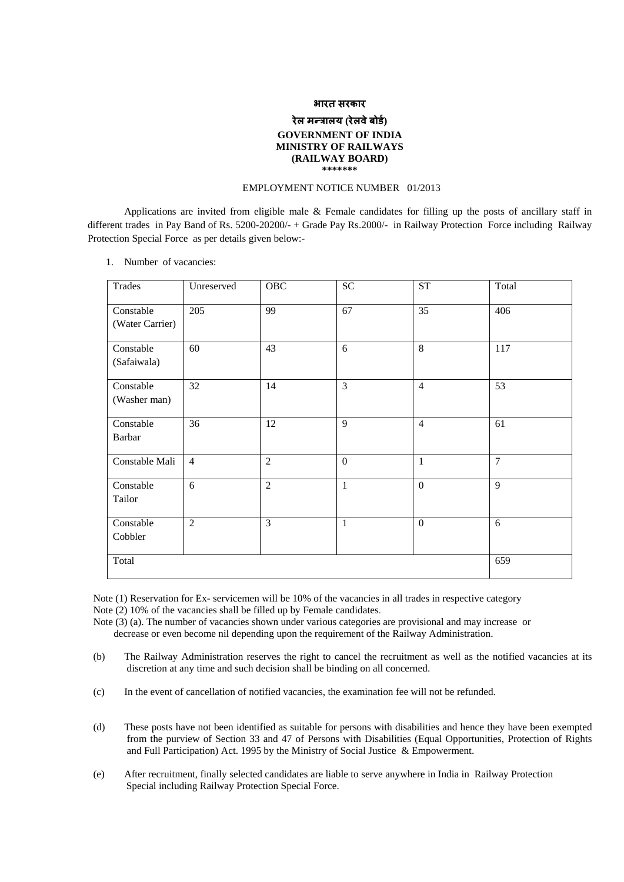### **भारत सरकार**

## **रेल मÛत्रालय (रेलवेबोड) र् GOVERNMENT OF INDIA MINISTRY OF RAILWAYS (RAILWAY BOARD) \*\*\*\*\*\*\***

## EMPLOYMENT NOTICE NUMBER 01/2013

Applications are invited from eligible male & Female candidates for filling up the posts of ancillary staff in different trades in Pay Band of Rs. 5200-20200/- + Grade Pay Rs. 2000/- in Railway Protection Force including Railway Protection Special Force as per details given below:-

1. Number of vacancies:

| Trades                       | Unreserved     | OBC            | <b>SC</b>      | <b>ST</b>      | Total  |
|------------------------------|----------------|----------------|----------------|----------------|--------|
| Constable<br>(Water Carrier) | 205            | 99             | 67             | 35             | 406    |
| Constable<br>(Safaiwala)     | 60             | 43             | 6              | 8              | 117    |
| Constable<br>(Washer man)    | 32             | 14             | $\overline{3}$ | $\overline{4}$ | 53     |
| Constable<br>Barbar          | 36             | 12             | 9              | $\overline{4}$ | 61     |
| Constable Mali               | $\overline{4}$ | $\overline{2}$ | $\mathbf{0}$   | $\mathbf{1}$   | $\tau$ |
| Constable<br>Tailor          | 6              | $\overline{2}$ | $\mathbf{1}$   | $\overline{0}$ | 9      |
| Constable<br>Cobbler         | $\overline{2}$ | $\overline{3}$ | $\mathbf 1$    | $\overline{0}$ | 6      |
| Total                        |                |                |                |                | 659    |

Note (1) Reservation for Ex- servicemen will be 10% of the vacancies in all trades in respective category Note (2) 10% of the vacancies shall be filled up by Female candidates.

Note (3) (a). The number of vacancies shown under various categories are provisional and may increase or decrease or even become nil depending upon the requirement of the Railway Administration.

- (b) The Railway Administration reserves the right to cancel the recruitment as well as the notified vacancies at its discretion at any time and such decision shall be binding on all concerned.
- (c) In the event of cancellation of notified vacancies, the examination fee will not be refunded.
- (d) These posts have not been identified as suitable for persons with disabilities and hence they have been exempted from the purview of Section 33 and 47 of Persons with Disabilities (Equal Opportunities, Protection of Rights and Full Participation) Act. 1995 by the Ministry of Social Justice & Empowerment.
- (e) After recruitment, finally selected candidates are liable to serve anywhere in India in Railway Protection Special including Railway Protection Special Force.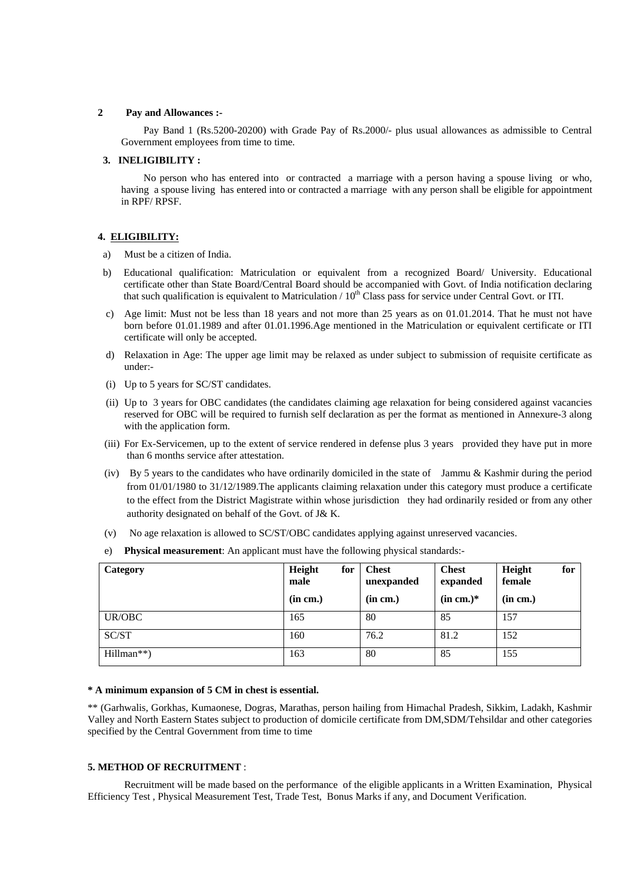## **2 Pay and Allowances :-**

Pay Band 1 (Rs.5200-20200) with Grade Pay of Rs.2000/- plus usual allowances as admissible to Central Government employees from time to time.

## **3. INELIGIBILITY :**

No person who has entered into or contracted a marriage with a person having a spouse living or who, having a spouse living has entered into or contracted a marriage with any person shall be eligible for appointment in RPF/ RPSF.

## **4. ELIGIBILITY:**

- a) Must be a citizen of India.
- b) Educational qualification: Matriculation or equivalent from a recognized Board/ University. Educational certificate other than State Board/Central Board should be accompanied with Govt. of India notification declaring that such qualification is equivalent to Matriculation  $/10^{th}$  Class pass for service under Central Govt. or ITI.
- c) Age limit: Must not be less than 18 years and not more than 25 years as on 01.01.2014. That he must not have born before 01.01.1989 and after 01.01.1996.Age mentioned in the Matriculation or equivalent certificate or ITI certificate will only be accepted.
- d) Relaxation in Age: The upper age limit may be relaxed as under subject to submission of requisite certificate as under:-
- (i) Up to 5 years for SC/ST candidates.
- (ii) Up to 3 years for OBC candidates (the candidates claiming age relaxation for being considered against vacancies reserved for OBC will be required to furnish self declaration as per the format as mentioned in Annexure-3 along with the application form.
- (iii) For Ex-Servicemen, up to the extent of service rendered in defense plus 3 years provided they have put in more than 6 months service after attestation.
- (iv) By 5 years to the candidates who have ordinarily domiciled in the state of Jammu & Kashmir during the period from 01/01/1980 to 31/12/1989.The applicants claiming relaxation under this category must produce a certificate to the effect from the District Magistrate within whose jurisdiction they had ordinarily resided or from any other authority designated on behalf of the Govt. of J& K.
- (v) No age relaxation is allowed to SC/ST/OBC candidates applying against unreserved vacancies.
- e) **Physical measurement**: An applicant must have the following physical standards:-

| Category   | Height<br>for<br>male<br>(in cm.) | <b>Chest</b><br>unexpanded<br>(in cm.) | <b>Chest</b><br>expanded<br>$(in cm.)^*$ | Height<br>for<br>female<br>(in cm.) |
|------------|-----------------------------------|----------------------------------------|------------------------------------------|-------------------------------------|
| UR/OBC     | 165                               | 80                                     | 85                                       | 157                                 |
| SC/ST      | 160                               | 76.2                                   | 81.2                                     | 152                                 |
| Hillman**) | 163                               | 80                                     | 85                                       | 155                                 |

### **\* A minimum expansion of 5 CM in chest is essential.**

\*\* (Garhwalis, Gorkhas, Kumaonese, Dogras, Marathas, person hailing from Himachal Pradesh, Sikkim, Ladakh, Kashmir Valley and North Eastern States subject to production of domicile certificate from DM,SDM/Tehsildar and other categories specified by the Central Government from time to time

### **5. METHOD OF RECRUITMENT** :

Recruitment will be made based on the performance of the eligible applicants in a Written Examination, Physical Efficiency Test , Physical Measurement Test, Trade Test, Bonus Marks if any, and Document Verification.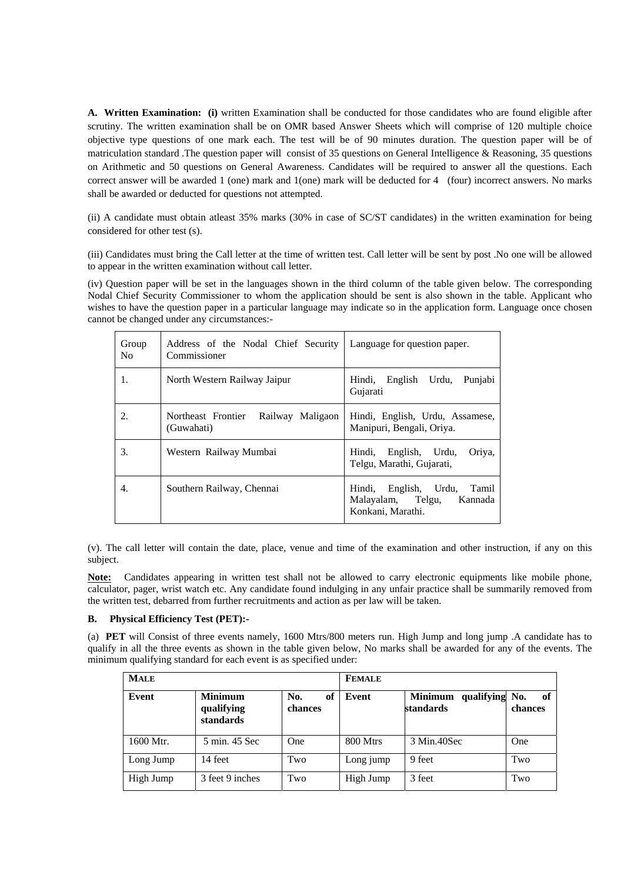**A. Written Examination: (i)** written Examination shall be conducted for those candidates who are found eligible after scrutiny. The written examination shall be on OMR based Answer Sheets which will comprise of 120 multiple choice objective type questions of one mark each. The test will be of 90 minutes duration. The question paper will be of matriculation standard .The question paper will consist of 35 questions on General Intelligence & Reasoning, 35 questions on Arithmetic and 50 questions on General Awareness. Candidates will be required to answer all the questions. Each correct answer will be awarded 1 (one) mark and 1(one) mark will be deducted for 4 (four) incorrect answers. No marks shall be awarded or deducted for questions not attempted.

(ii) A candidate must obtain atleast 35% marks (30% in case of SC/ST candidates) in the written examination for being considered for other test (s).

(iii) Candidates must bring the Call letter at the time of written test. Call letter will be sent by post .No one will be allowed to appear in the written examination without call letter.

(iv) Question paper will be set in the languages shown in the third column of the table given below. The corresponding Nodal Chief Security Commissioner to whom the application should be sent is also shown in the table. Applicant who wishes to have the question paper in a particular language may indicate so in the application form. Language once chosen cannot be changed under any circumstances:-

| Group<br>N <sub>0</sub> | Address of the Nodal Chief Security   Language for question paper.<br>Commissioner |                                                                                        |
|-------------------------|------------------------------------------------------------------------------------|----------------------------------------------------------------------------------------|
| 1.                      | North Western Railway Jaipur                                                       | Hindi,<br>English<br>Urdu,<br>Punjabi<br>Gujarati                                      |
| 2.                      | Northeast Frontier<br>Railway Maligaon<br>(Guwahati)                               | Hindi, English, Urdu, Assamese,<br>Manipuri, Bengali, Oriya.                           |
| 3.                      | Western Railway Mumbai                                                             | Hindi, English, Urdu,<br>Oriya,<br>Telgu, Marathi, Gujarati,                           |
| 4.                      | Southern Railway, Chennai                                                          | English, Urdu,<br>Tamil<br>Hindi,<br>Malayalam, Telgu,<br>Kannada<br>Konkani, Marathi. |

(v). The call letter will contain the date, place, venue and time of the examination and other instruction, if any on this subject.

Note: Candidates appearing in written test shall not be allowed to carry electronic equipments like mobile phone, calculator, pager, wrist watch etc. Any candidate found indulging in any unfair practice shall be summarily removed from the written test, debarred from further recruitments and action as per law will be taken.

## **B. Physical Efficiency Test (PET):-**

(a) **PET** will Consist of three events namely, 1600 Mtrs/800 meters run. High Jump and long jump .A candidate has to qualify in all the three events as shown in the table given below, No marks shall be awarded for any of the events. The minimum qualifying standard for each event is as specified under:

| <b>MALE</b> |                                           |                      | <b>FEMALE</b> |                                        |               |
|-------------|-------------------------------------------|----------------------|---------------|----------------------------------------|---------------|
| Event       | <b>Minimum</b><br>qualifying<br>standards | No.<br>of<br>chances | Event         | qualifying No.<br>Minimum<br>standards | of<br>chances |
| 1600 Mtr.   | 5 min. 45 Sec                             | One                  | 800 Mtrs      | 3 Min.40Sec                            | One           |
| Long Jump   | 14 feet                                   | Two                  | Long jump     | 9 feet                                 | Two           |
| High Jump   | 3 feet 9 inches                           | Two                  | High Jump     | 3 feet                                 | Two           |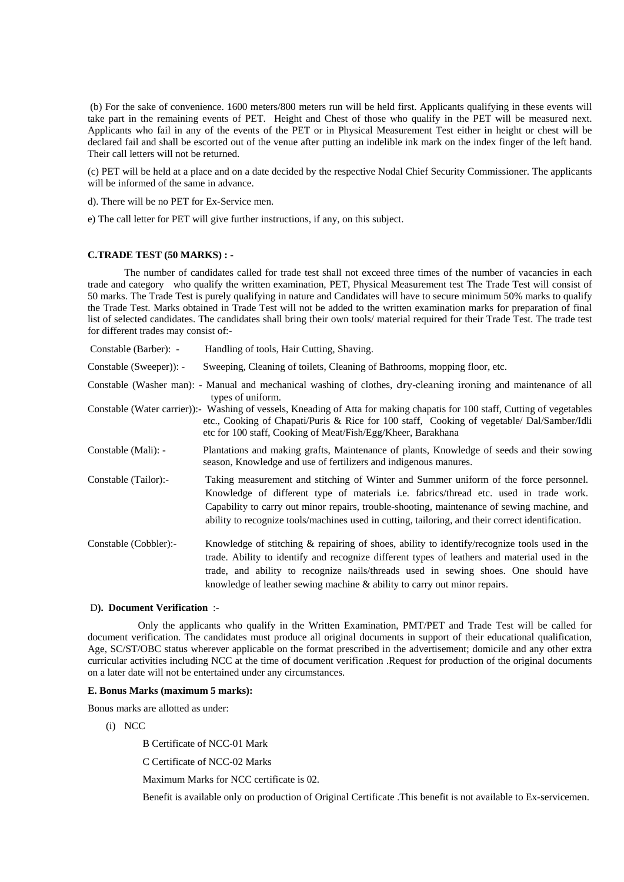(b) For the sake of convenience. 1600 meters/800 meters run will be held first. Applicants qualifying in these events will take part in the remaining events of PET. Height and Chest of those who qualify in the PET will be measured next. Applicants who fail in any of the events of the PET or in Physical Measurement Test either in height or chest will be declared fail and shall be escorted out of the venue after putting an indelible ink mark on the index finger of the left hand. Their call letters will not be returned.

(c) PET will be held at a place and on a date decided by the respective Nodal Chief Security Commissioner. The applicants will be informed of the same in advance.

d). There will be no PET for Ex-Service men.

e) The call letter for PET will give further instructions, if any, on this subject.

### **C.TRADE TEST (50 MARKS) : -**

The number of candidates called for trade test shall not exceed three times of the number of vacancies in each trade and category who qualify the written examination, PET, Physical Measurement test The Trade Test will consist of 50 marks. The Trade Test is purely qualifying in nature and Candidates will have to secure minimum 50% marks to qualify the Trade Test. Marks obtained in Trade Test will not be added to the written examination marks for preparation of final list of selected candidates. The candidates shall bring their own tools/ material required for their Trade Test. The trade test for different trades may consist of:-

| Constable (Barber): -   | Handling of tools, Hair Cutting, Shaving.                                                                                                                                                                                                                                                                                                                                          |
|-------------------------|------------------------------------------------------------------------------------------------------------------------------------------------------------------------------------------------------------------------------------------------------------------------------------------------------------------------------------------------------------------------------------|
| Constable (Sweeper)): - | Sweeping, Cleaning of toilets, Cleaning of Bathrooms, mopping floor, etc.                                                                                                                                                                                                                                                                                                          |
|                         | Constable (Washer man): - Manual and mechanical washing of clothes, dry-cleaning ironing and maintenance of all<br>types of uniform.                                                                                                                                                                                                                                               |
|                         | Constable (Water carrier)): Washing of vessels, Kneading of Atta for making chapatis for 100 staff, Cutting of vegetables<br>etc., Cooking of Chapati/Puris & Rice for 100 staff, Cooking of vegetable/ Dal/Samber/Idli<br>etc for 100 staff, Cooking of Meat/Fish/Egg/Kheer, Barakhana                                                                                            |
| Constable (Mali): -     | Plantations and making grafts, Maintenance of plants, Knowledge of seeds and their sowing<br>season, Knowledge and use of fertilizers and indigenous manures.                                                                                                                                                                                                                      |
| Constable (Tailor):-    | Taking measurement and stitching of Winter and Summer uniform of the force personnel.<br>Knowledge of different type of materials i.e. fabrics/thread etc. used in trade work.<br>Capability to carry out minor repairs, trouble-shooting, maintenance of sewing machine, and<br>ability to recognize tools/machines used in cutting, tailoring, and their correct identification. |
| Constable (Cobbler):-   | Knowledge of stitching $\&$ repairing of shoes, ability to identify/recognize tools used in the<br>trade. Ability to identify and recognize different types of leathers and material used in the<br>trade, and ability to recognize nails/threads used in sewing shoes. One should have<br>knowledge of leather sewing machine $\&$ ability to carry out minor repairs.            |

### D**). Document Verification** :-

Only the applicants who qualify in the Written Examination, PMT/PET and Trade Test will be called for document verification. The candidates must produce all original documents in support of their educational qualification, Age, SC/ST/OBC status wherever applicable on the format prescribed in the advertisement; domicile and any other extra curricular activities including NCC at the time of document verification .Request for production of the original documents on a later date will not be entertained under any circumstances.

### **E. Bonus Marks (maximum 5 marks):**

Bonus marks are allotted as under:

(i) NCC

B Certificate of NCC-01 Mark

C Certificate of NCC-02 Marks

Maximum Marks for NCC certificate is 02.

Benefit is available only on production of Original Certificate .This benefit is not available to Ex-servicemen.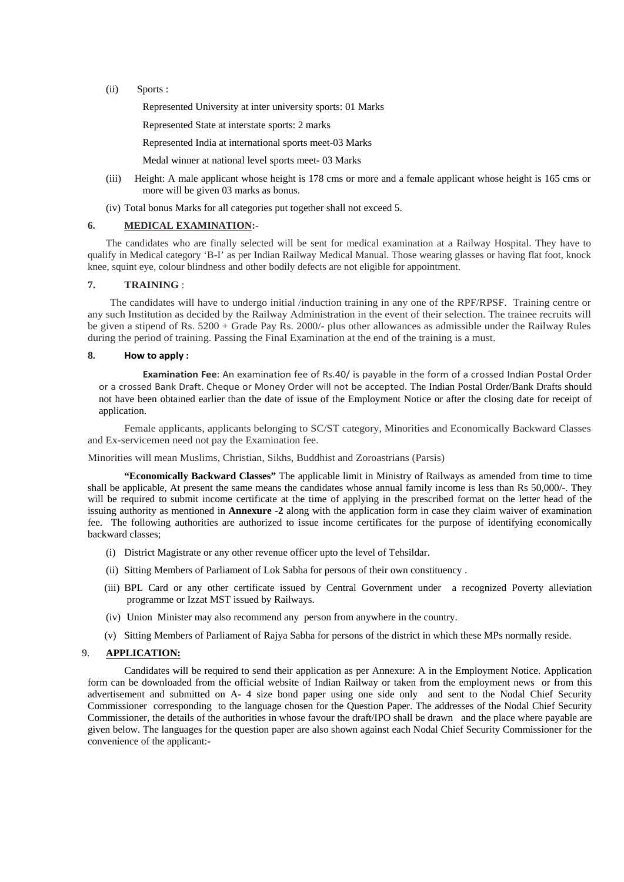(ii) Sports :

Represented University at inter university sports: 01 Marks

Represented State at interstate sports: 2 marks

Represented India at international sports meet-03 Marks

Medal winner at national level sports meet- 03 Marks

- (iii) Height: A male applicant whose height is 178 cms or more and a female applicant whose height is 165 cms or more will be given 03 marks as bonus.
- (iv) Total bonus Marks for all categories put together shall not exceed 5.

## **6. MEDICAL EXAMINATION:-**

 The candidates who are finally selected will be sent for medical examination at a Railway Hospital. They have to qualify in Medical category 'B-I' as per Indian Railway Medical Manual. Those wearing glasses or having flat foot, knock knee, squint eye, colour blindness and other bodily defects are not eligible for appointment.

## **7. TRAINING** :

The candidates will have to undergo initial /induction training in any one of the RPF/RPSF. Training centre or any such Institution as decided by the Railway Administration in the event of their selection. The trainee recruits will be given a stipend of Rs. 5200 + Grade Pay Rs. 2000/- plus other allowances as admissible under the Railway Rules during the period of training. Passing the Final Examination at the end of the training is a must.

## **8. How to apply :**

 **Examination Fee**: An examination fee of Rs.40/ is payable in the form of a crossed Indian Postal Order or a crossed Bank Draft. Cheque or Money Order will not be accepted. The Indian Postal Order/Bank Drafts should not have been obtained earlier than the date of issue of the Employment Notice or after the closing date for receipt of application.

 Female applicants, applicants belonging to SC/ST category, Minorities and Economically Backward Classes and Ex-servicemen need not pay the Examination fee.

### Minorities will mean Muslims, Christian, Sikhs, Buddhist and Zoroastrians (Parsis)

**"Economically Backward Classes"** The applicable limit in Ministry of Railways as amended from time to time shall be applicable, At present the same means the candidates whose annual family income is less than Rs 50,000/-. They will be required to submit income certificate at the time of applying in the prescribed format on the letter head of the issuing authority as mentioned in **Annexure -2** along with the application form in case they claim waiver of examination fee. The following authorities are authorized to issue income certificates for the purpose of identifying economically backward classes;

- (i) District Magistrate or any other revenue officer upto the level of Tehsildar.
- (ii) Sitting Members of Parliament of Lok Sabha for persons of their own constituency .
- (iii) BPL Card or any other certificate issued by Central Government under a recognized Poverty alleviation programme or Izzat MST issued by Railways.
- (iv) Union Minister may also recommend any person from anywhere in the country.
- (v) Sitting Members of Parliament of Rajya Sabha for persons of the district in which these MPs normally reside.

## 9. **APPLICATION:**

 Candidates will be required to send their application as per Annexure: A in the Employment Notice. Application form can be downloaded from the official website of Indian Railway or taken from the employment news or from this advertisement and submitted on A- 4 size bond paper using one side only and sent to the Nodal Chief Security Commissioner corresponding to the language chosen for the Question Paper. The addresses of the Nodal Chief Security Commissioner, the details of the authorities in whose favour the draft/IPO shall be drawn and the place where payable are given below. The languages for the question paper are also shown against each Nodal Chief Security Commissioner for the convenience of the applicant:-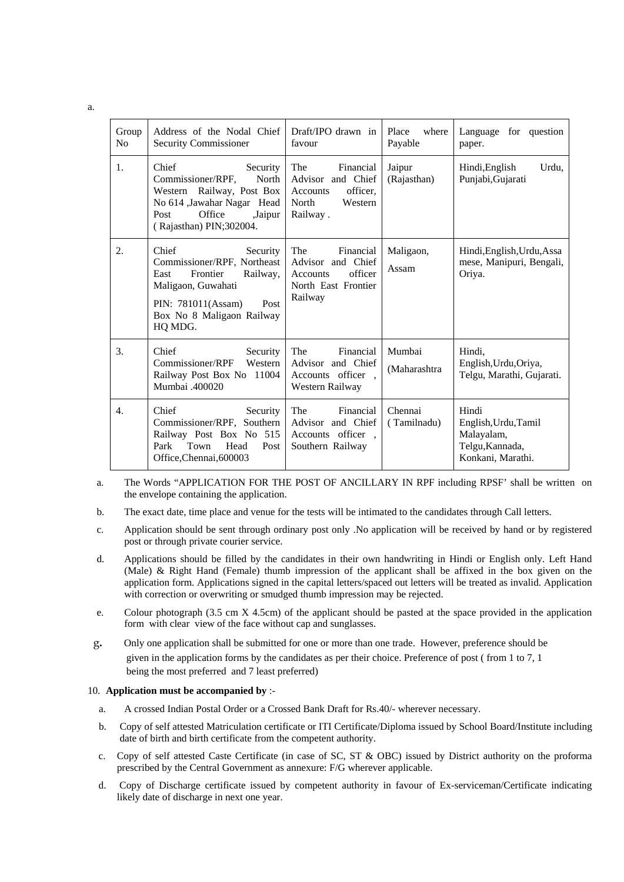| Group<br>No      | Address of the Nodal Chief<br>Security Commissioner                                                                                                                          | Draft/IPO drawn in<br>favour                                                                   | where<br>Place<br>Payable | Language for question<br>paper.                                                     |
|------------------|------------------------------------------------------------------------------------------------------------------------------------------------------------------------------|------------------------------------------------------------------------------------------------|---------------------------|-------------------------------------------------------------------------------------|
| $\mathbf{1}$ .   | Chief<br>Security<br>Commissioner/RPF,<br>North<br>Western Railway, Post Box<br>No 614 ,Jawahar Nagar Head<br>Office<br>,Jaipur<br>Post<br>(Rajasthan) PIN;302004.           | The<br>Financial<br>Advisor and Chief<br>officer.<br>Accounts<br>North<br>Western<br>Railway.  | Jaipur<br>(Rajasthan)     | Hindi, English<br>Urdu,<br>Punjabi, Gujarati                                        |
| 2.               | Chief<br>Security<br>Commissioner/RPF, Northeast<br>Frontier<br>East<br>Railway,<br>Maligaon, Guwahati<br>PIN: 781011(Assam)<br>Post<br>Box No 8 Maligaon Railway<br>HQ MDG. | The<br>Financial<br>Advisor and Chief<br>officer<br>Accounts<br>North East Frontier<br>Railway | Maligaon,<br>Assam        | Hindi, English, Urdu, Assa<br>mese, Manipuri, Bengali,<br>Oriya.                    |
| 3.               | Chief<br>Security<br>Commissioner/RPF<br>Western<br>Railway Post Box No 11004<br>Mumbai .400020                                                                              | The<br>Financial<br>Advisor and Chief<br>Accounts officer,<br>Western Railway                  | Mumbai<br>(Maharashtra    | Hindi.<br>English, Urdu, Oriya,<br>Telgu, Marathi, Gujarati.                        |
| $\overline{4}$ . | Chief<br>Security<br>Commissioner/RPF, Southern<br>Railway Post Box No 515<br>Town<br>Head<br>Park<br>Post<br>Office, Chennai, 600003                                        | The<br>Financial<br>Advisor and Chief<br>Accounts officer,<br>Southern Railway                 | Chennai<br>(Tamilnadu)    | Hindi<br>English, Urdu, Tamil<br>Malayalam,<br>Telgu, Kannada,<br>Konkani, Marathi. |

- a. The Words "APPLICATION FOR THE POST OF ANCILLARY IN RPF including RPSF' shall be written on the envelope containing the application.
- b. The exact date, time place and venue for the tests will be intimated to the candidates through Call letters.
- c. Application should be sent through ordinary post only .No application will be received by hand or by registered post or through private courier service.
- d. Applications should be filled by the candidates in their own handwriting in Hindi or English only. Left Hand (Male) & Right Hand (Female) thumb impression of the applicant shall be affixed in the box given on the application form. Applications signed in the capital letters/spaced out letters will be treated as invalid. Application with correction or overwriting or smudged thumb impression may be rejected.
- e. Colour photograph (3.5 cm X 4.5cm) of the applicant should be pasted at the space provided in the application form with clear view of the face without cap and sunglasses.
- g**.** Only one application shall be submitted for one or more than one trade. However, preference should be given in the application forms by the candidates as per their choice. Preference of post ( from 1 to 7, 1 being the most preferred and 7 least preferred)

## 10. **Application must be accompanied by** :-

- a. A crossed Indian Postal Order or a Crossed Bank Draft for Rs.40/- wherever necessary.
- b. Copy of self attested Matriculation certificate or ITI Certificate/Diploma issued by School Board/Institute including date of birth and birth certificate from the competent authority.
- c. Copy of self attested Caste Certificate (in case of SC, ST & OBC) issued by District authority on the proforma prescribed by the Central Government as annexure: F/G wherever applicable.
- d. Copy of Discharge certificate issued by competent authority in favour of Ex-serviceman/Certificate indicating likely date of discharge in next one year.

a.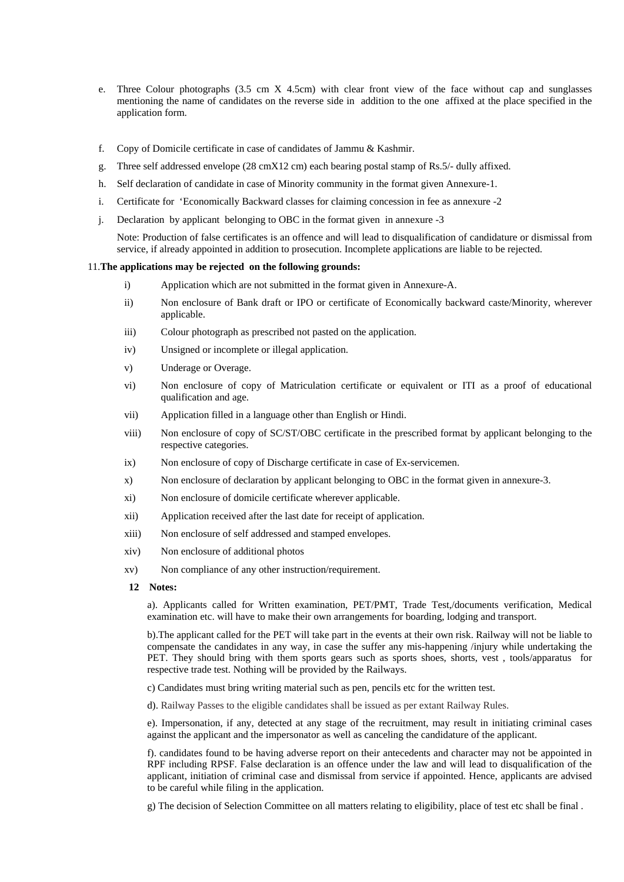- e. Three Colour photographs (3.5 cm X 4.5cm) with clear front view of the face without cap and sunglasses mentioning the name of candidates on the reverse side in addition to the one affixed at the place specified in the application form.
- f. Copy of Domicile certificate in case of candidates of Jammu & Kashmir.
- g. Three self addressed envelope (28 cmX12 cm) each bearing postal stamp of Rs.5/- dully affixed.
- h. Self declaration of candidate in case of Minority community in the format given Annexure-1.
- i. Certificate for 'Economically Backward classes for claiming concession in fee as annexure -2
- j. Declaration by applicant belonging to OBC in the format given in annexure -3

Note: Production of false certificates is an offence and will lead to disqualification of candidature or dismissal from service, if already appointed in addition to prosecution. Incomplete applications are liable to be rejected.

### 11.**The applications may be rejected on the following grounds:**

- i) Application which are not submitted in the format given in Annexure-A.
- ii) Non enclosure of Bank draft or IPO or certificate of Economically backward caste/Minority, wherever applicable.
- iii) Colour photograph as prescribed not pasted on the application.
- iv) Unsigned or incomplete or illegal application.
- v) Underage or Overage.
- vi) Non enclosure of copy of Matriculation certificate or equivalent or ITI as a proof of educational qualification and age.
- vii) Application filled in a language other than English or Hindi.
- viii) Non enclosure of copy of SC/ST/OBC certificate in the prescribed format by applicant belonging to the respective categories.
- ix) Non enclosure of copy of Discharge certificate in case of Ex-servicemen.
- x) Non enclosure of declaration by applicant belonging to OBC in the format given in annexure-3.
- xi) Non enclosure of domicile certificate wherever applicable.
- xii) Application received after the last date for receipt of application.
- xiii) Non enclosure of self addressed and stamped envelopes.
- xiv) Non enclosure of additional photos
- xv) Non compliance of any other instruction/requirement.
- **12 Notes:**

a). Applicants called for Written examination, PET/PMT, Trade Test,/documents verification, Medical examination etc. will have to make their own arrangements for boarding, lodging and transport.

b).The applicant called for the PET will take part in the events at their own risk. Railway will not be liable to compensate the candidates in any way, in case the suffer any mis-happening /injury while undertaking the PET. They should bring with them sports gears such as sports shoes, shorts, vest , tools/apparatus for respective trade test. Nothing will be provided by the Railways.

c) Candidates must bring writing material such as pen, pencils etc for the written test.

d). Railway Passes to the eligible candidates shall be issued as per extant Railway Rules.

e). Impersonation, if any, detected at any stage of the recruitment, may result in initiating criminal cases against the applicant and the impersonator as well as canceling the candidature of the applicant.

f). candidates found to be having adverse report on their antecedents and character may not be appointed in RPF including RPSF. False declaration is an offence under the law and will lead to disqualification of the applicant, initiation of criminal case and dismissal from service if appointed. Hence, applicants are advised to be careful while filing in the application.

g) The decision of Selection Committee on all matters relating to eligibility, place of test etc shall be final .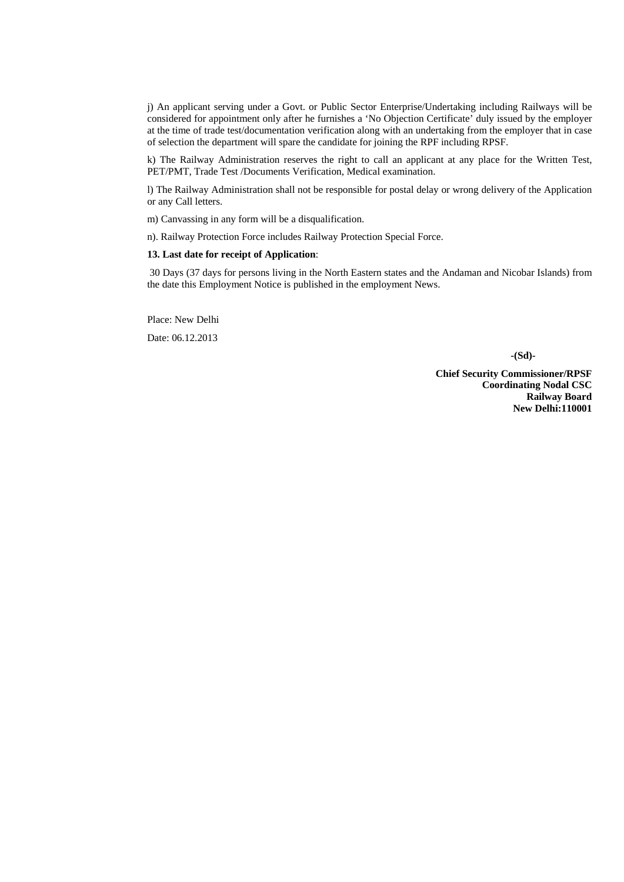j) An applicant serving under a Govt. or Public Sector Enterprise/Undertaking including Railways will be considered for appointment only after he furnishes a 'No Objection Certificate' duly issued by the employer at the time of trade test/documentation verification along with an undertaking from the employer that in case of selection the department will spare the candidate for joining the RPF including RPSF.

k) The Railway Administration reserves the right to call an applicant at any place for the Written Test, PET/PMT, Trade Test /Documents Verification, Medical examination.

l) The Railway Administration shall not be responsible for postal delay or wrong delivery of the Application or any Call letters.

m) Canvassing in any form will be a disqualification.

n). Railway Protection Force includes Railway Protection Special Force.

### **13. Last date for receipt of Application**:

 30 Days (37 days for persons living in the North Eastern states and the Andaman and Nicobar Islands) from the date this Employment Notice is published in the employment News.

Place: New Delhi

Date: 06.12.2013

**-(Sd)-** 

**Chief Security Commissioner/RPSF Coordinating Nodal CSC Railway Board New Delhi:110001**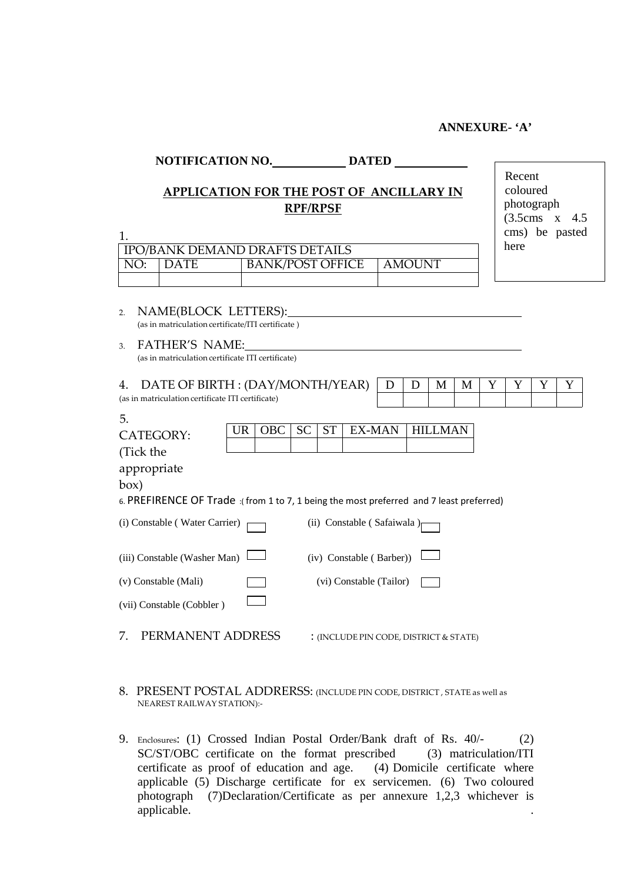## **ANNEXURE- 'A'**

## **NOTIFICATION NO. DATED**

# **APPLICATION FOR THE POST OF ANCILLARY IN RPF/RPSF**

Recent coloured photograph (3.5cms x 4.5 cms) be pasted here

|           | <b>IPO/BANK DEMAND DRAFTS DETAILS</b> |               |
|-----------|---------------------------------------|---------------|
| NO: IDATE | <b>BANK/POST OFFICE</b>               | <b>AMOUNT</b> |
|           |                                       |               |

- 2. NAME(BLOCK LETTERS): (as in matriculation certificate/ITI certificate )
- 3. FATHER'S NAME: (as in matriculation certificate ITI certificate)

1.

| DATE OF BIRTH : $(DAY/MONTH/YEAR)   D   D$        |  | M |  |  |  |
|---------------------------------------------------|--|---|--|--|--|
| (as in matriculation certificate ITI certificate) |  |   |  |  |  |

| 5.                                                                                      |     |            |           |           |                                         |                                        |  |
|-----------------------------------------------------------------------------------------|-----|------------|-----------|-----------|-----------------------------------------|----------------------------------------|--|
| <b>CATEGORY:</b>                                                                        | UR. | <b>OBC</b> | <b>SC</b> | <b>ST</b> | EX-MAN                                  | MAN                                    |  |
| (Tick the                                                                               |     |            |           |           |                                         |                                        |  |
| appropriate                                                                             |     |            |           |           |                                         |                                        |  |
| box)                                                                                    |     |            |           |           |                                         |                                        |  |
| 6. PREFIRENCE OF Trade: (from 1 to 7, 1 being the most preferred and 7 least preferred) |     |            |           |           |                                         |                                        |  |
| (i) Constable (Water Carrier)                                                           |     |            |           |           | (ii) Constable (Safaiwala) <sub>[</sub> |                                        |  |
| (iii) Constable (Washer Man)                                                            |     |            |           |           | (iv) Constable (Barber))                |                                        |  |
| (v) Constable (Mali)                                                                    |     |            |           |           | (vi) Constable (Tailor)                 |                                        |  |
| (vii) Constable (Cobbler)                                                               |     |            |           |           |                                         |                                        |  |
| 7.<br>PERMANENT ADDRESS                                                                 |     |            |           |           |                                         | : (INCLUDE PIN CODE, DISTRICT & STATE) |  |

- 8. PRESENT POSTAL ADDRERSS: (INCLUDE PIN CODE, DISTRICT , STATE as well as NEAREST RAILWAY STATION):‐
- 9. Enclosures: (1) Crossed Indian Postal Order/Bank draft of Rs. 40/- (2) SC/ST/OBC certificate on the format prescribed (3) matriculation/ITI certificate as proof of education and age. (4) Domicile certificate where applicable (5) Discharge certificate for ex servicemen. (6) Two coloured photograph (7)Declaration/Certificate as per annexure 1,2,3 whichever is applicable. .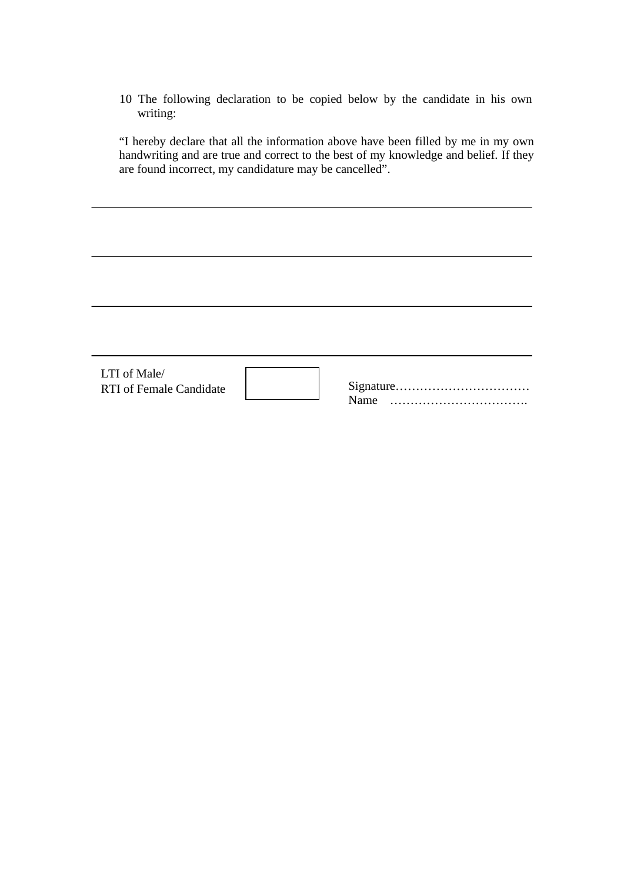10 The following declaration to be copied below by the candidate in his own writing:

"I hereby declare that all the information above have been filled by me in my own handwriting and are true and correct to the best of my knowledge and belief. If they are found incorrect, my candidature may be cancelled".

| LTI of Male/<br><b>RTI</b> of Female Candidate | Name |
|------------------------------------------------|------|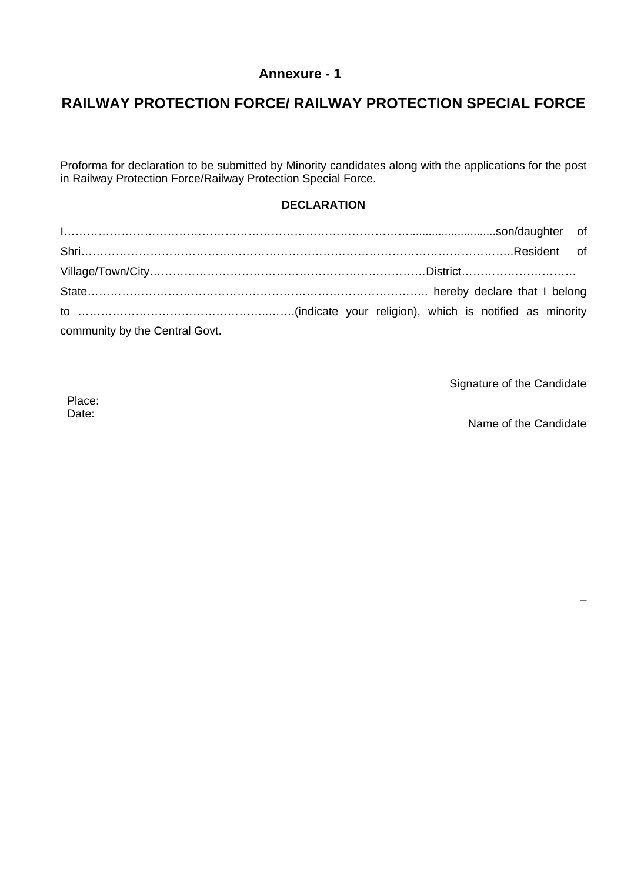# **Annexure - 1**

# **RAILWAY PROTECTION FORCE/ RAILWAY PROTECTION SPECIAL FORCE**

Proforma for declaration to be submitted by Minority candidates along with the applications for the post in Railway Protection Force/Railway Protection Special Force.

# **DECLARATION**

| community by the Central Govt. |  |
|--------------------------------|--|

Signature of the Candidate

Place: Date:

Name of the Candidate

–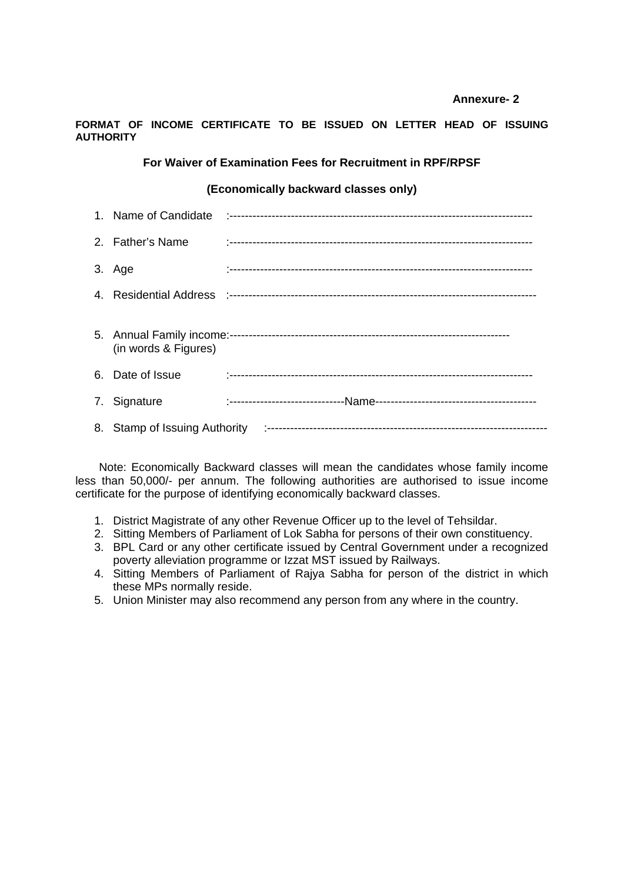## **Annexure- 2**

## **FORMAT OF INCOME CERTIFICATE TO BE ISSUED ON LETTER HEAD OF ISSUING AUTHORITY**

## **For Waiver of Examination Fees for Recruitment in RPF/RPSF**

## **(Economically backward classes only)**

| 2. Father's Name     |  |
|----------------------|--|
| 3. Age               |  |
|                      |  |
| (in words & Figures) |  |
| 6. Date of Issue     |  |
| 7. Signature         |  |
|                      |  |

 Note: Economically Backward classes will mean the candidates whose family income less than 50,000/- per annum. The following authorities are authorised to issue income certificate for the purpose of identifying economically backward classes.

- 1. District Magistrate of any other Revenue Officer up to the level of Tehsildar.
- 2. Sitting Members of Parliament of Lok Sabha for persons of their own constituency.
- 3. BPL Card or any other certificate issued by Central Government under a recognized poverty alleviation programme or Izzat MST issued by Railways.
- 4. Sitting Members of Parliament of Rajya Sabha for person of the district in which these MPs normally reside.
- 5. Union Minister may also recommend any person from any where in the country.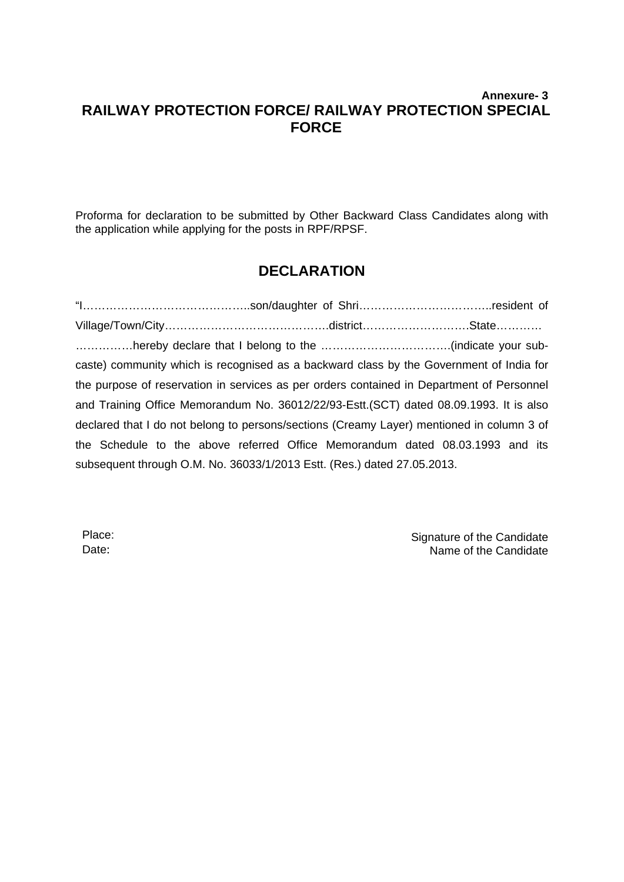# **Annexure- 3 RAILWAY PROTECTION FORCE/ RAILWAY PROTECTION SPECIAL FORCE**

Proforma for declaration to be submitted by Other Backward Class Candidates along with the application while applying for the posts in RPF/RPSF.

# **DECLARATION**

"I……………………………………..son/daughter of Shri……………………………..resident of Village/Town/City…………………………………….district……………………….State………… ……………hereby declare that I belong to the …………………………….(indicate your subcaste) community which is recognised as a backward class by the Government of India for the purpose of reservation in services as per orders contained in Department of Personnel and Training Office Memorandum No. 36012/22/93-Estt.(SCT) dated 08.09.1993. It is also declared that I do not belong to persons/sections (Creamy Layer) mentioned in column 3 of the Schedule to the above referred Office Memorandum dated 08.03.1993 and its subsequent through O.M. No. 36033/1/2013 Estt. (Res.) dated 27.05.2013.

Place: Date:

Signature of the Candidate Name of the Candidate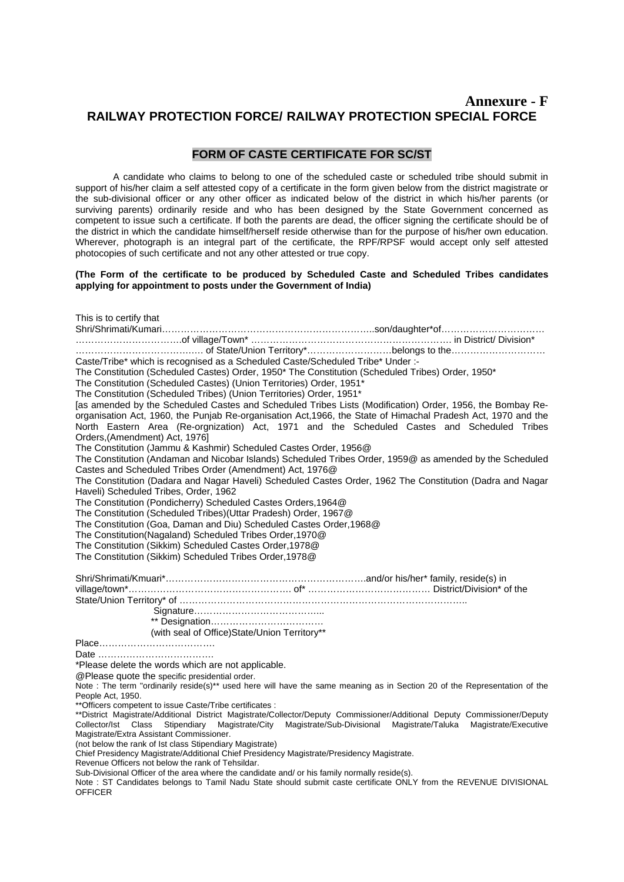# **Annexure - F RAILWAY PROTECTION FORCE/ RAILWAY PROTECTION SPECIAL FORCE**

## **FORM OF CASTE CERTIFICATE FOR SC/ST**

 A candidate who claims to belong to one of the scheduled caste or scheduled tribe should submit in support of his/her claim a self attested copy of a certificate in the form given below from the district magistrate or the sub-divisional officer or any other officer as indicated below of the district in which his/her parents (or surviving parents) ordinarily reside and who has been designed by the State Government concerned as competent to issue such a certificate. If both the parents are dead, the officer signing the certificate should be of the district in which the candidate himself/herself reside otherwise than for the purpose of his/her own education. Wherever, photograph is an integral part of the certificate, the RPF/RPSF would accept only self attested photocopies of such certificate and not any other attested or true copy.

## **(The Form of the certificate to be produced by Scheduled Caste and Scheduled Tribes candidates applying for appointment to posts under the Government of India)**

| This is to certify that                                                                                                                                                                                                                            |
|----------------------------------------------------------------------------------------------------------------------------------------------------------------------------------------------------------------------------------------------------|
|                                                                                                                                                                                                                                                    |
|                                                                                                                                                                                                                                                    |
|                                                                                                                                                                                                                                                    |
| Caste/Tribe* which is recognised as a Scheduled Caste/Scheduled Tribe* Under :-                                                                                                                                                                    |
| The Constitution (Scheduled Castes) Order, 1950* The Constitution (Scheduled Tribes) Order, 1950*                                                                                                                                                  |
| The Constitution (Scheduled Castes) (Union Territories) Order, 1951*                                                                                                                                                                               |
| The Constitution (Scheduled Tribes) (Union Territories) Order, 1951*<br>[as amended by the Scheduled Castes and Scheduled Tribes Lists (Modification) Order, 1956, the Bombay Re-                                                                  |
| organisation Act, 1960, the Punjab Re-organisation Act, 1966, the State of Himachal Pradesh Act, 1970 and the                                                                                                                                      |
| North Eastern Area (Re-orgnization) Act, 1971 and the Scheduled Castes and Scheduled Tribes                                                                                                                                                        |
| Orders, (Amendment) Act, 1976]                                                                                                                                                                                                                     |
| The Constitution (Jammu & Kashmir) Scheduled Castes Order, 1956@                                                                                                                                                                                   |
| The Constitution (Andaman and Nicobar Islands) Scheduled Tribes Order, 1959@ as amended by the Scheduled                                                                                                                                           |
| Castes and Scheduled Tribes Order (Amendment) Act, 1976@                                                                                                                                                                                           |
| The Constitution (Dadara and Nagar Haveli) Scheduled Castes Order, 1962 The Constitution (Dadra and Nagar                                                                                                                                          |
| Haveli) Scheduled Tribes, Order, 1962                                                                                                                                                                                                              |
| The Constitution (Pondicherry) Scheduled Castes Orders, 1964@                                                                                                                                                                                      |
| The Constitution (Scheduled Tribes)(Uttar Pradesh) Order, 1967@                                                                                                                                                                                    |
| The Constitution (Goa, Daman and Diu) Scheduled Castes Order, 1968@                                                                                                                                                                                |
| The Constitution(Nagaland) Scheduled Tribes Order, 1970@                                                                                                                                                                                           |
| The Constitution (Sikkim) Scheduled Castes Order, 1978@                                                                                                                                                                                            |
| The Constitution (Sikkim) Scheduled Tribes Order, 1978@                                                                                                                                                                                            |
|                                                                                                                                                                                                                                                    |
|                                                                                                                                                                                                                                                    |
|                                                                                                                                                                                                                                                    |
|                                                                                                                                                                                                                                                    |
|                                                                                                                                                                                                                                                    |
|                                                                                                                                                                                                                                                    |
| (with seal of Office)State/Union Territory**                                                                                                                                                                                                       |
|                                                                                                                                                                                                                                                    |
|                                                                                                                                                                                                                                                    |
| *Please delete the words which are not applicable.                                                                                                                                                                                                 |
| @Please quote the specific presidential order.                                                                                                                                                                                                     |
| Note : The term "ordinarily reside(s)** used here will have the same meaning as in Section 20 of the Representation of the                                                                                                                         |
| People Act, 1950.                                                                                                                                                                                                                                  |
| ** Officers competent to issue Caste/Tribe certificates :                                                                                                                                                                                          |
| **District Magistrate/Additional District Magistrate/Collector/Deputy Commissioner/Additional Deputy Commissioner/Deputy<br>Collector/Ist Class Stipendiary Magistrate/City<br>Magistrate/Sub-Divisional Magistrate/Taluka<br>Magistrate/Executive |
| Magistrate/Extra Assistant Commissioner.                                                                                                                                                                                                           |
| (not below the rank of 1st class Stipendiary Magistrate)                                                                                                                                                                                           |
| Chief Presidency Magistrate/Additional Chief Presidency Magistrate/Presidency Magistrate.                                                                                                                                                          |
| Revenue Officers not below the rank of Tehsildar.                                                                                                                                                                                                  |
| Sub-Divisional Officer of the area where the candidate and/ or his family normally reside(s).<br>Note : ST Candidates belongs to Tamil Nadu State should submit caste certificate ONLY from the REVENUE DIVISIONAL                                 |
| <b>OFFICER</b>                                                                                                                                                                                                                                     |
|                                                                                                                                                                                                                                                    |